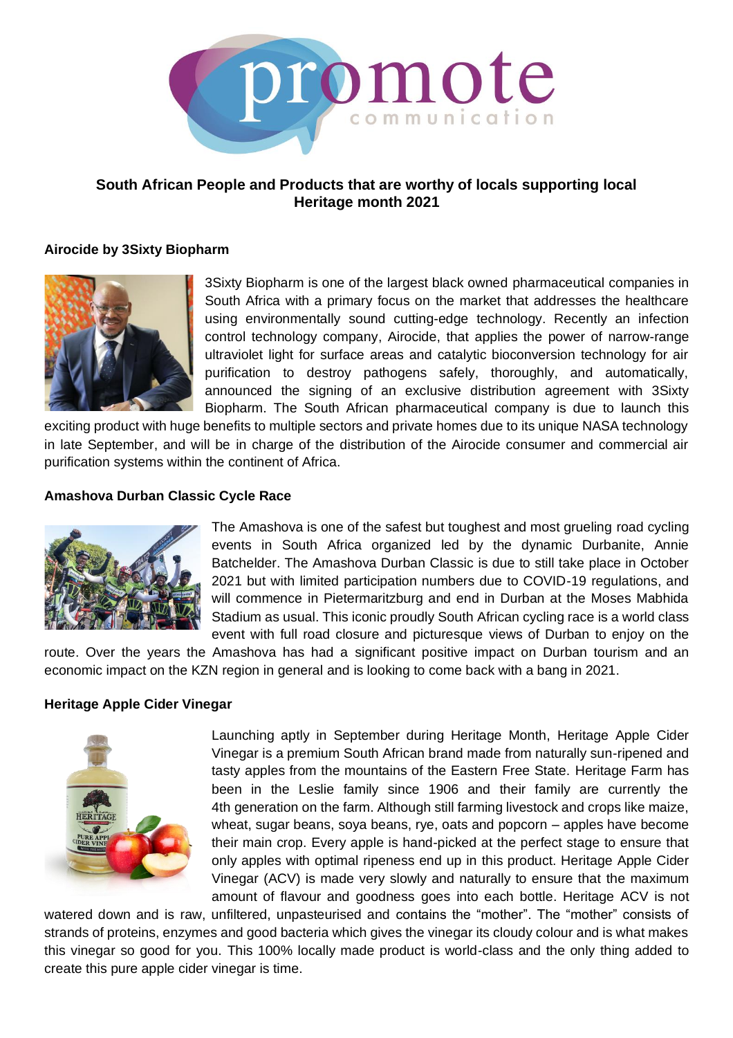

# **South African People and Products that are worthy of locals supporting local Heritage month 2021**

#### **Airocide by 3Sixty Biopharm**



3Sixty Biopharm is one of the largest black owned pharmaceutical companies in South Africa with a primary focus on the market that addresses the healthcare using environmentally sound cutting-edge technology. Recently an infection control technology company, Airocide, that applies the power of narrow-range ultraviolet light for surface areas and catalytic bioconversion technology for air purification to destroy pathogens safely, thoroughly, and automatically, announced the signing of an exclusive distribution agreement with 3Sixty Biopharm. The South African pharmaceutical company is due to launch this

exciting product with huge benefits to multiple sectors and private homes due to its unique NASA technology in late September, and will be in charge of the distribution of the Airocide consumer and commercial air purification systems within the continent of Africa.

## **Amashova Durban Classic Cycle Race**



The Amashova is one of the safest but toughest and most grueling road cycling events in South Africa organized led by the dynamic Durbanite, Annie Batchelder. The Amashova Durban Classic is due to still take place in October 2021 but with limited participation numbers due to COVID-19 regulations, and will commence in Pietermaritzburg and end in Durban at the Moses Mabhida Stadium as usual. This iconic proudly South African cycling race is a world class event with full road closure and picturesque views of Durban to enjoy on the

route. Over the years the Amashova has had a significant positive impact on Durban tourism and an economic impact on the KZN region in general and is looking to come back with a bang in 2021.

## **Heritage Apple Cider Vinegar**



Launching aptly in September during Heritage Month, Heritage Apple Cider Vinegar is a premium South African brand made from naturally sun-ripened and tasty apples from the mountains of the Eastern Free State. Heritage Farm has been in the Leslie family since 1906 and their family are currently the 4th generation on the farm. Although still farming livestock and crops like maize, wheat, sugar beans, soya beans, rye, oats and popcorn – apples have become their main crop. Every apple is hand-picked at the perfect stage to ensure that only apples with optimal ripeness end up in this product. Heritage Apple Cider Vinegar (ACV) is made very slowly and naturally to ensure that the maximum amount of flavour and goodness goes into each bottle. Heritage ACV is not

watered down and is raw, unfiltered, unpasteurised and contains the "mother". The "mother" consists of strands of proteins, enzymes and good bacteria which gives the vinegar its cloudy colour and is what makes this vinegar so good for you. This 100% locally made product is world-class and the only thing added to create this pure apple cider vinegar is time.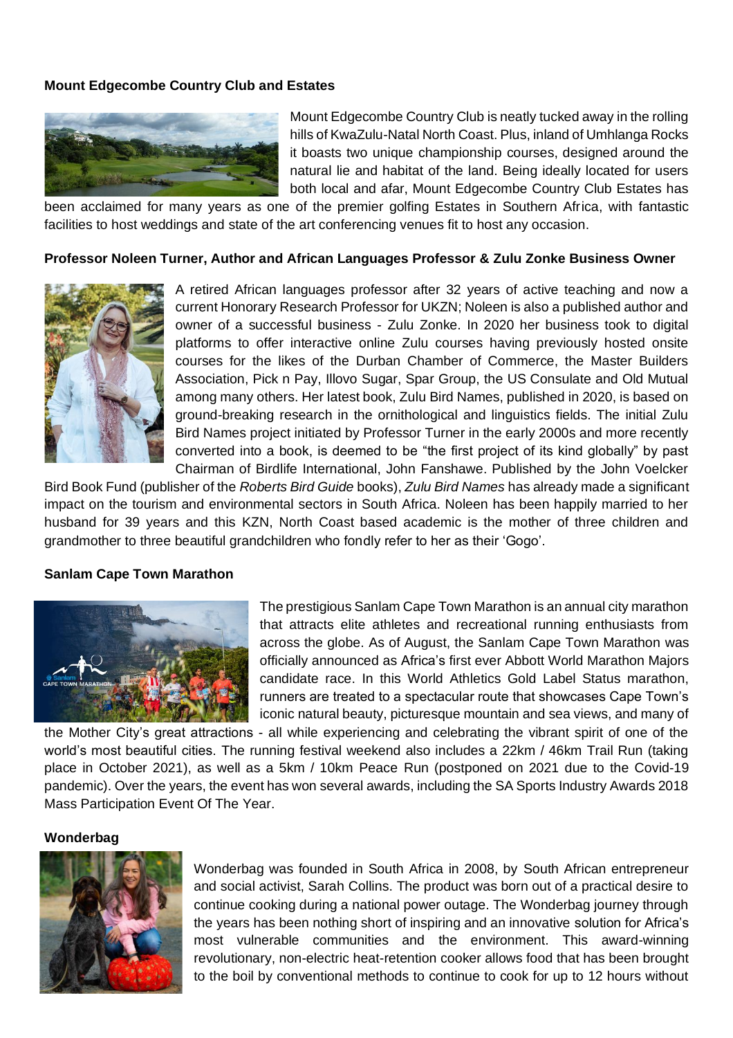## **Mount Edgecombe Country Club and Estates**



Mount Edgecombe Country Club is neatly tucked away in the rolling hills of KwaZulu-Natal North Coast. Plus, inland of Umhlanga Rocks it boasts two unique championship courses, designed around the natural lie and habitat of the land. Being ideally located for users both local and afar, Mount Edgecombe Country Club Estates has

been acclaimed for many years as one of the premier golfing Estates in Southern Africa, with fantastic facilities to host weddings and state of the art conferencing venues fit to host any occasion.

#### **Professor Noleen Turner, Author and African Languages Professor & Zulu Zonke Business Owner**



A retired African languages professor after 32 years of active teaching and now a current Honorary Research Professor for UKZN; Noleen is also a published author and owner of a successful business - Zulu Zonke. In 2020 her business took to digital platforms to offer interactive online Zulu courses having previously hosted onsite courses for the likes of the Durban Chamber of Commerce, the Master Builders Association, Pick n Pay, Illovo Sugar, Spar Group, the US Consulate and Old Mutual among many others. Her latest book, Zulu Bird Names, published in 2020, is based on ground-breaking research in the ornithological and linguistics fields. The initial Zulu Bird Names project initiated by Professor Turner in the early 2000s and more recently converted into a book, is deemed to be "the first project of its kind globally" by past Chairman of Birdlife International, John Fanshawe. Published by the John Voelcker

Bird Book Fund (publisher of the *Roberts Bird Guide* books), *Zulu Bird Names* has already made a significant impact on the tourism and environmental sectors in South Africa. Noleen has been happily married to her husband for 39 years and this KZN, North Coast based academic is the mother of three children and grandmother to three beautiful grandchildren who fondly refer to her as their 'Gogo'.

#### **Sanlam Cape Town Marathon**



The prestigious Sanlam Cape Town Marathon is an annual city marathon that attracts elite athletes and recreational running enthusiasts from across the globe. As of August, the Sanlam Cape Town Marathon was officially announced as Africa's first ever Abbott World Marathon Majors candidate race. In this World Athletics Gold Label Status marathon, runners are treated to a spectacular route that showcases Cape Town's iconic natural beauty, picturesque mountain and sea views, and many of

the Mother City's great attractions - all while experiencing and celebrating the vibrant spirit of one of the world's most beautiful cities. The running festival weekend also includes a 22km / 46km Trail Run (taking place in October 2021), as well as a 5km / 10km Peace Run (postponed on 2021 due to the Covid-19 pandemic). Over the years, the event has won several awards, including the SA Sports Industry Awards 2018 Mass Participation Event Of The Year.

#### **Wonderbag**



Wonderbag was founded in South Africa in 2008, by South African entrepreneur and social activist, Sarah Collins. The product was born out of a practical desire to continue cooking during a national power outage. The Wonderbag journey through the years has been nothing short of inspiring and an innovative solution for Africa's most vulnerable communities and the environment. This award-winning revolutionary, non-electric heat-retention cooker allows food that has been brought to the boil by conventional methods to continue to cook for up to 12 hours without